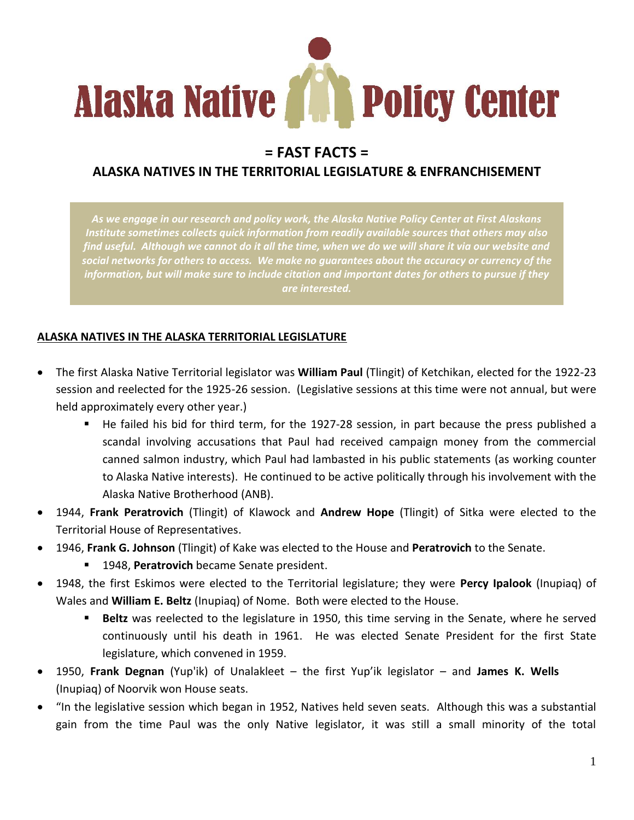

# **= FAST FACTS =**

### **ALASKA NATIVES IN THE TERRITORIAL LEGISLATURE & ENFRANCHISEMENT**

*As we engage in our research and policy work, the Alaska Native Policy Center at First Alaskans Institute sometimes collects quick information from readily available sources that others may also find useful. Although we cannot do it all the time, when we do we will share it via our website and social networks for others to access. We make no guarantees about the accuracy or currency of the information, but will make sure to include citation and important dates for others to pursue if they are interested.*

#### **ALASKA NATIVES IN THE ALASKA TERRITORIAL LEGISLATURE**

- The first Alaska Native Territorial legislator was **William Paul** (Tlingit) of Ketchikan, elected for the 1922-23 session and reelected for the 1925-26 session. (Legislative sessions at this time were not annual, but were held approximately every other year.)
	- He failed his bid for third term, for the 1927-28 session, in part because the press published a scandal involving accusations that Paul had received campaign money from the commercial canned salmon industry, which Paul had lambasted in his public statements (as working counter to Alaska Native interests). He continued to be active politically through his involvement with the Alaska Native Brotherhood (ANB).
- 1944, **Frank Peratrovich** (Tlingit) of Klawock and **Andrew Hope** (Tlingit) of Sitka were elected to the Territorial House of Representatives.
- 1946, **Frank G. Johnson** (Tlingit) of Kake was elected to the House and **Peratrovich** to the Senate.
	- 1948, **Peratrovich** became Senate president.
- 1948, the first Eskimos were elected to the Territorial legislature; they were **Percy Ipalook** (Inupiaq) of Wales and **William E. Beltz** (Inupiaq) of Nome. Both were elected to the House.
	- **Beltz** was reelected to the legislature in 1950, this time serving in the Senate, where he served continuously until his death in 1961. He was elected Senate President for the first State legislature, which convened in 1959.
- 1950, **Frank Degnan** (Yup'ik) of Unalakleet the first Yup'ik legislator and **James K. Wells** (Inupiaq) of Noorvik won House seats.
- "In the legislative session which began in 1952, Natives held seven seats. Although this was a substantial gain from the time Paul was the only Native legislator, it was still a small minority of the total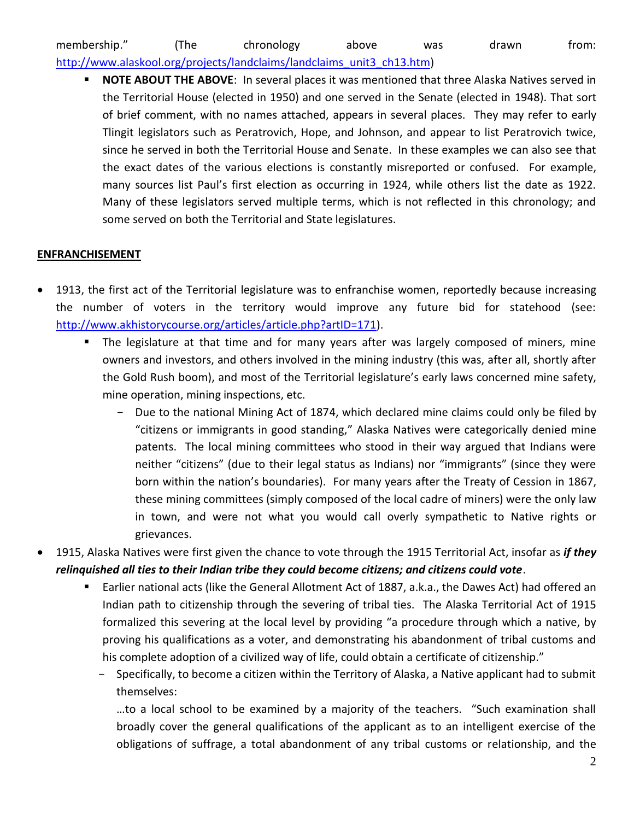### membership." (The chronology above was drawn from: [http://www.alaskool.org/projects/landclaims/landclaims\\_unit3\\_ch13.htm\)](http://www.alaskool.org/projects/landclaims/landclaims_unit3_ch13.htm)

 **NOTE ABOUT THE ABOVE**: In several places it was mentioned that three Alaska Natives served in the Territorial House (elected in 1950) and one served in the Senate (elected in 1948). That sort of brief comment, with no names attached, appears in several places. They may refer to early Tlingit legislators such as Peratrovich, Hope, and Johnson, and appear to list Peratrovich twice, since he served in both the Territorial House and Senate. In these examples we can also see that the exact dates of the various elections is constantly misreported or confused. For example, many sources list Paul's first election as occurring in 1924, while others list the date as 1922. Many of these legislators served multiple terms, which is not reflected in this chronology; and some served on both the Territorial and State legislatures.

#### **ENFRANCHISEMENT**

- 1913, the first act of the Territorial legislature was to enfranchise women, reportedly because increasing the number of voters in the territory would improve any future bid for statehood (see: [http://www.akhistorycourse.org/articles/article.php?artID=171\)](http://www.akhistorycourse.org/articles/article.php?artID=171).
	- The legislature at that time and for many years after was largely composed of miners, mine owners and investors, and others involved in the mining industry (this was, after all, shortly after the Gold Rush boom), and most of the Territorial legislature's early laws concerned mine safety, mine operation, mining inspections, etc.
		- Due to the national Mining Act of 1874, which declared mine claims could only be filed by "citizens or immigrants in good standing," Alaska Natives were categorically denied mine patents. The local mining committees who stood in their way argued that Indians were neither "citizens" (due to their legal status as Indians) nor "immigrants" (since they were born within the nation's boundaries). For many years after the Treaty of Cession in 1867, these mining committees (simply composed of the local cadre of miners) were the only law in town, and were not what you would call overly sympathetic to Native rights or grievances.
- 1915, Alaska Natives were first given the chance to vote through the 1915 Territorial Act, insofar as *if they relinquished all ties to their Indian tribe they could become citizens; and citizens could vote*.
	- Earlier national acts (like the General Allotment Act of 1887, a.k.a., the Dawes Act) had offered an Indian path to citizenship through the severing of tribal ties. The Alaska Territorial Act of 1915 formalized this severing at the local level by providing "a procedure through which a native, by proving his qualifications as a voter, and demonstrating his abandonment of tribal customs and his complete adoption of a civilized way of life, could obtain a certificate of citizenship."
		- Specifically, to become a citizen within the Territory of Alaska, a Native applicant had to submit themselves:

…to a local school to be examined by a majority of the teachers. "Such examination shall broadly cover the general qualifications of the applicant as to an intelligent exercise of the obligations of suffrage, a total abandonment of any tribal customs or relationship, and the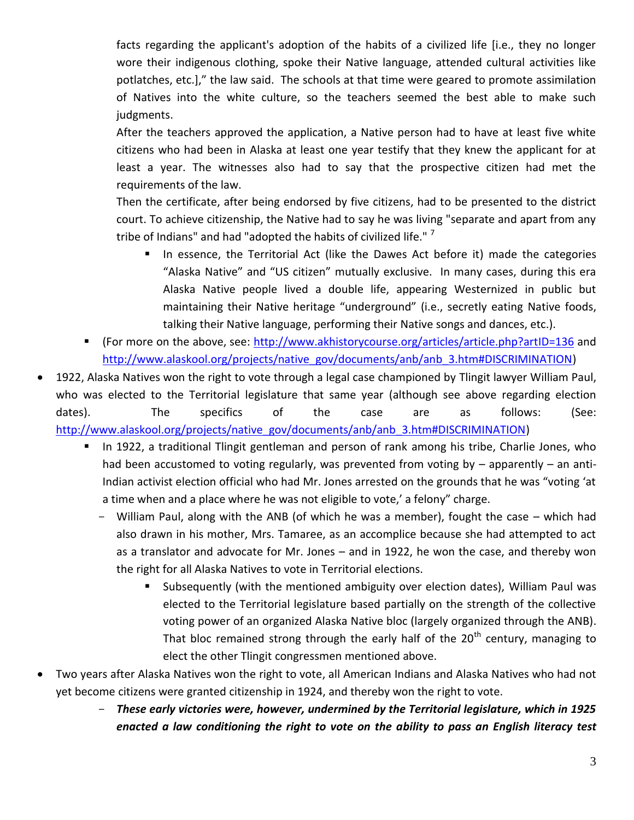facts regarding the applicant's adoption of the habits of a civilized life [i.e., they no longer wore their indigenous clothing, spoke their Native language, attended cultural activities like potlatches, etc.]," the law said. The schools at that time were geared to promote assimilation of Natives into the white culture, so the teachers seemed the best able to make such judgments.

After the teachers approved the application, a Native person had to have at least five white citizens who had been in Alaska at least one year testify that they knew the applicant for at least a year. The witnesses also had to say that the prospective citizen had met the requirements of the law.

Then the certificate, after being endorsed by five citizens, had to be presented to the district court. To achieve citizenship, the Native had to say he was living "separate and apart from any tribe of Indians" and had "adopted the habits of civilized life." <sup>7</sup>

- In essence, the Territorial Act (like the Dawes Act before it) made the categories "Alaska Native" and "US citizen" mutually exclusive. In many cases, during this era Alaska Native people lived a double life, appearing Westernized in public but maintaining their Native heritage "underground" (i.e., secretly eating Native foods, talking their Native language, performing their Native songs and dances, etc.).
- (For more on the above, see:<http://www.akhistorycourse.org/articles/article.php?artID=136> and [http://www.alaskool.org/projects/native\\_gov/documents/anb/anb\\_3.htm#DISCRIMINATION\)](http://www.alaskool.org/projects/native_gov/documents/anb/anb_3.htm#DISCRIMINATION)
- 1922, Alaska Natives won the right to vote through a legal case championed by Tlingit lawyer William Paul, who was elected to the Territorial legislature that same year (although see above regarding election dates). The specifics of the case are as follows: (See: [http://www.alaskool.org/projects/native\\_gov/documents/anb/anb\\_3.htm#DISCRIMINATION\)](http://www.alaskool.org/projects/native_gov/documents/anb/anb_3.htm#DISCRIMINATION)
	- In 1922, a traditional Tlingit gentleman and person of rank among his tribe, Charlie Jones, who had been accustomed to voting regularly, was prevented from voting by – apparently – an anti-Indian activist election official who had Mr. Jones arrested on the grounds that he was "voting 'at a time when and a place where he was not eligible to vote,' a felony" charge.
		- William Paul, along with the ANB (of which he was a member), fought the case which had also drawn in his mother, Mrs. Tamaree, as an accomplice because she had attempted to act as a translator and advocate for Mr. Jones – and in 1922, he won the case, and thereby won the right for all Alaska Natives to vote in Territorial elections.
			- Subsequently (with the mentioned ambiguity over election dates), William Paul was elected to the Territorial legislature based partially on the strength of the collective voting power of an organized Alaska Native bloc (largely organized through the ANB). That bloc remained strong through the early half of the  $20<sup>th</sup>$  century, managing to elect the other Tlingit congressmen mentioned above.
- Two years after Alaska Natives won the right to vote, all American Indians and Alaska Natives who had not yet become citizens were granted citizenship in 1924, and thereby won the right to vote.
	- *These early victories were, however, undermined by the Territorial legislature, which in 1925 enacted a law conditioning the right to vote on the ability to pass an English literacy test*